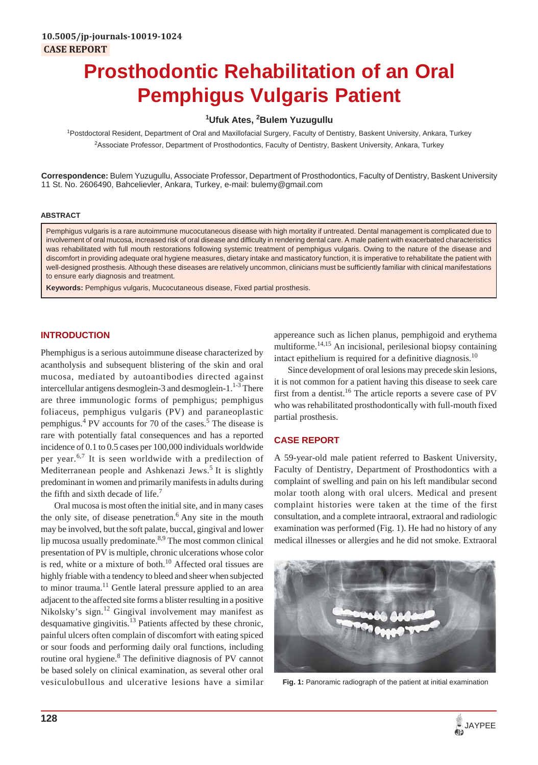# **Prosthodontic Rehabilitation of an Oral Pemphigus Vulgaris Patient**

# **1 Ufuk Ates, 2 Bulem Yuzugullu**

<sup>1</sup>Postdoctoral Resident, Department of Oral and Maxillofacial Surgery, Faculty of Dentistry, Baskent University, Ankara, Turkey <sup>2</sup>Associate Professor, Department of Prosthodontics, Faculty of Dentistry, Baskent University, Ankara, Turkey

**Correspondence:** Bulem Yuzugullu, Associate Professor, Department of Prosthodontics, Faculty of Dentistry, Baskent University 11 St. No. 2606490, Bahcelievler, Ankara, Turkey, e-mail: bulemy@gmail.com

#### **ABSTRACT**

Pemphigus vulgaris is a rare autoimmune mucocutaneous disease with high mortality if untreated. Dental management is complicated due to involvement of oral mucosa, increased risk of oral disease and difficulty in rendering dental care. A male patient with exacerbated characteristics was rehabilitated with full mouth restorations following systemic treatment of pemphigus vulgaris. Owing to the nature of the disease and discomfort in providing adequate oral hygiene measures, dietary intake and masticatory function, it is imperative to rehabilitate the patient with well-designed prosthesis. Although these diseases are relatively uncommon, clinicians must be sufficiently familiar with clinical manifestations to ensure early diagnosis and treatment.

**Keywords:** Pemphigus vulgaris, Mucocutaneous disease, Fixed partial prosthesis.

# **INTRODUCTION**

Phemphigus is a serious autoimmune disease characterized by acantholysis and subsequent blistering of the skin and oral mucosa, mediated by autoantibodies directed against intercellular antigens desmoglein-3 and desmoglein-1. $1<sup>1-3</sup>$  There are three immunologic forms of pemphigus; pemphigus foliaceus, pemphigus vulgaris (PV) and paraneoplastic pemphigus.<sup>4</sup> PV accounts for 70 of the cases.<sup>5</sup> The disease is rare with potentially fatal consequences and has a reported incidence of 0.1 to 0.5 cases per 100,000 individuals worldwide per year.6,7 It is seen worldwide with a predilection of Mediterranean people and Ashkenazi Jews.<sup>5</sup> It is slightly predominant in women and primarily manifests in adults during the fifth and sixth decade of life.<sup>7</sup>

Oral mucosa is most often the initial site, and in many cases the only site, of disease penetration. $6$  Any site in the mouth may be involved, but the soft palate, buccal, gingival and lower lip mucosa usually predominate.<sup>8,9</sup> The most common clinical presentation of PV is multiple, chronic ulcerations whose color is red, white or a mixture of both. $10$  Affected oral tissues are highly friable with a tendency to bleed and sheer when subjected to minor trauma.<sup>11</sup> Gentle lateral pressure applied to an area adjacent to the affected site forms a blister resulting in a positive Nikolsky's sign.12 Gingival involvement may manifest as desquamative gingivitis.<sup>13</sup> Patients affected by these chronic, painful ulcers often complain of discomfort with eating spiced or sour foods and performing daily oral functions, including routine oral hygiene.<sup>8</sup> The definitive diagnosis of PV cannot be based solely on clinical examination, as several other oral vesiculobullous and ulcerative lesions have a similar appereance such as lichen planus, pemphigoid and erythema multiforme.<sup>14,15</sup> An incisional, perilesional biopsy containing intact epithelium is required for a definitive diagnosis.<sup>10</sup>

Since development of oral lesions may precede skin lesions, it is not common for a patient having this disease to seek care first from a dentist.<sup>16</sup> The article reports a severe case of PV who was rehabilitated prosthodontically with full-mouth fixed partial prosthesis.

## **CASE REPORT**

A 59-year-old male patient referred to Baskent University, Faculty of Dentistry, Department of Prosthodontics with a complaint of swelling and pain on his left mandibular second molar tooth along with oral ulcers. Medical and present complaint histories were taken at the time of the first consultation, and a complete intraoral, extraoral and radiologic examination was performed (Fig. 1). He had no history of any medical illnesses or allergies and he did not smoke. Extraoral



**Fig. 1:** Panoramic radiograph of the patient at initial examination

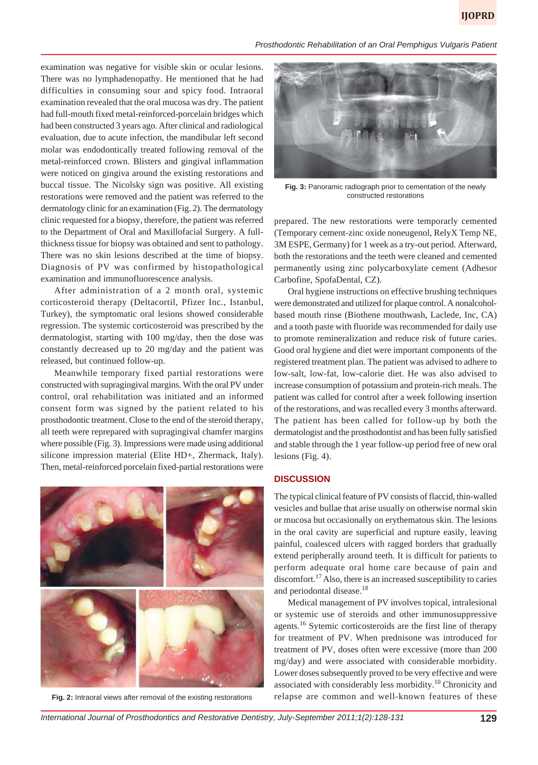*Prosthodontic Rehabilitation of an Oral Pemphigus Vulgaris Patient*

examination was negative for visible skin or ocular lesions. There was no lymphadenopathy. He mentioned that he had difficulties in consuming sour and spicy food. Intraoral examination revealed that the oral mucosa was dry. The patient had full-mouth fixed metal-reinforced-porcelain bridges which had been constructed 3 years ago. After clinical and radiological evaluation, due to acute infection, the mandibular left second molar was endodontically treated following removal of the metal-reinforced crown. Blisters and gingival inflammation were noticed on gingiva around the existing restorations and buccal tissue. The Nicolsky sign was positive. All existing restorations were removed and the patient was referred to the dermatology clinic for an examination (Fig. 2). The dermatology clinic requested for a biopsy, therefore, the patient was referred to the Department of Oral and Maxillofacial Surgery. A fullthickness tissue for biopsy was obtained and sent to pathology. There was no skin lesions described at the time of biopsy. Diagnosis of PV was confirmed by histopathological examination and immunofluorescence analysis.

After administration of a 2 month oral, systemic corticosteroid therapy (Deltacortil, Pfizer Inc., Istanbul, Turkey), the symptomatic oral lesions showed considerable regression. The systemic corticosteroid was prescribed by the dermatologist, starting with 100 mg/day, then the dose was constantly decreased up to 20 mg/day and the patient was released, but continued follow-up.

Meanwhile temporary fixed partial restorations were constructed with supragingival margins. With the oral PV under control, oral rehabilitation was initiated and an informed consent form was signed by the patient related to his prosthodontic treatment. Close to the end of the steroid therapy, all teeth were reprepared with supragingival chamfer margins where possible (Fig. 3). Impressions were made using additional silicone impression material (Elite HD+, Zhermack, Italy). Then, metal-reinforced porcelain fixed-partial restorations were





**Fig. 3:** Panoramic radiograph prior to cementation of the newly constructed restorations

prepared. The new restorations were temporarly cemented (Temporary cement-zinc oxide noneugenol, RelyX Temp NE, 3M ESPE, Germany) for 1 week as a try-out period. Afterward, both the restorations and the teeth were cleaned and cemented permanently using zinc polycarboxylate cement (Adhesor Carbofine, SpofaDental, CZ).

Oral hygiene instructions on effective brushing techniques were demonstrated and utilized for plaque control. A nonalcoholbased mouth rinse (Biothene mouthwash, Laclede, Inc, CA) and a tooth paste with fluoride was recommended for daily use to promote remineralization and reduce risk of future caries. Good oral hygiene and diet were important components of the registered treatment plan. The patient was advised to adhere to low-salt, low-fat, low-calorie diet. He was also advised to increase consumption of potassium and protein-rich meals. The patient was called for control after a week following insertion of the restorations, and was recalled every 3 months afterward. The patient has been called for follow-up by both the dermatologist and the prosthodontist and has been fully satisfied and stable through the 1 year follow-up period free of new oral lesions (Fig. 4).

#### **DISCUSSION**

The typical clinical feature of PV consists of flaccid, thin-walled vesicles and bullae that arise usually on otherwise normal skin or mucosa but occasionally on erythematous skin. The lesions in the oral cavity are superficial and rupture easily, leaving painful, coalesced ulcers with ragged borders that gradually extend peripherally around teeth. It is difficult for patients to perform adequate oral home care because of pain and discomfort.<sup>17</sup> Also, there is an increased susceptibility to caries and periodontal disease.<sup>18</sup>

Medical management of PV involves topical, intralesional or systemic use of steroids and other immunosuppressive agents.<sup>16</sup> Sytemic corticosteroids are the first line of therapy for treatment of PV. When prednisone was introduced for treatment of PV, doses often were excessive (more than 200 mg/day) and were associated with considerable morbidity. Lower doses subsequently proved to be very effective and were associated with considerably less morbidity.10 Chronicity and **Fig. 2:** Intraoral views after removal of the existing restorations relapse are common and well-known features of these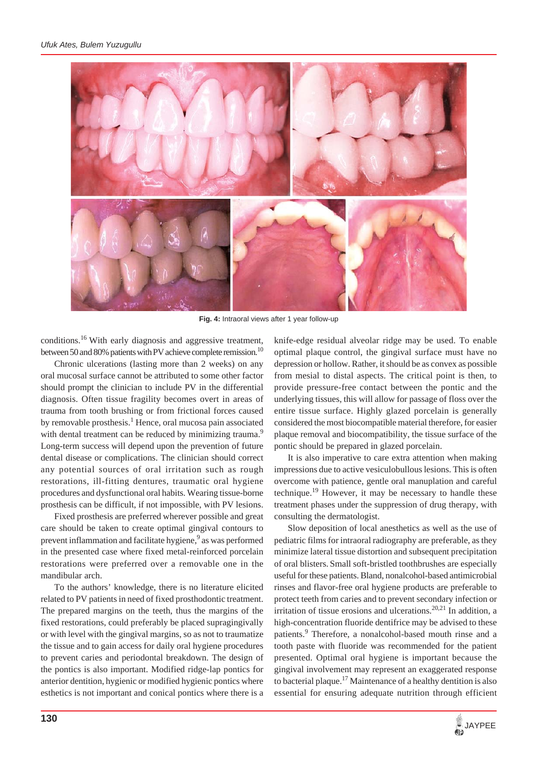

**Fig. 4:** Intraoral views after 1 year follow-up

conditions.16 With early diagnosis and aggressive treatment, between 50 and 80% patients with PV achieve complete remission.<sup>10</sup>

Chronic ulcerations (lasting more than 2 weeks) on any oral mucosal surface cannot be attributed to some other factor should prompt the clinician to include PV in the differential diagnosis. Often tissue fragility becomes overt in areas of trauma from tooth brushing or from frictional forces caused by removable prosthesis.<sup>1</sup> Hence, oral mucosa pain associated with dental treatment can be reduced by minimizing trauma.<sup>9</sup> Long-term success will depend upon the prevention of future dental disease or complications. The clinician should correct any potential sources of oral irritation such as rough restorations, ill-fitting dentures, traumatic oral hygiene procedures and dysfunctional oral habits. Wearing tissue-borne prosthesis can be difficult, if not impossible, with PV lesions.

Fixed prosthesis are preferred wherever possible and great care should be taken to create optimal gingival contours to prevent inflammation and facilitate hygiene,<sup>9</sup> as was performed in the presented case where fixed metal-reinforced porcelain restorations were preferred over a removable one in the mandibular arch.

To the authors' knowledge, there is no literature elicited related to PV patients in need of fixed prosthodontic treatment. The prepared margins on the teeth, thus the margins of the fixed restorations, could preferably be placed supragingivally or with level with the gingival margins, so as not to traumatize the tissue and to gain access for daily oral hygiene procedures to prevent caries and periodontal breakdown. The design of the pontics is also important. Modified ridge-lap pontics for anterior dentition, hygienic or modified hygienic pontics where esthetics is not important and conical pontics where there is a

knife-edge residual alveolar ridge may be used. To enable optimal plaque control, the gingival surface must have no depression or hollow. Rather, it should be as convex as possible from mesial to distal aspects. The critical point is then, to provide pressure-free contact between the pontic and the underlying tissues, this will allow for passage of floss over the entire tissue surface. Highly glazed porcelain is generally considered the most biocompatible material therefore, for easier plaque removal and biocompatibility, the tissue surface of the pontic should be prepared in glazed porcelain.

It is also imperative to care extra attention when making impressions due to active vesiculobullous lesions. This is often overcome with patience, gentle oral manuplation and careful technique.<sup>19</sup> However, it may be necessary to handle these treatment phases under the suppression of drug therapy, with consulting the dermatologist.

Slow deposition of local anesthetics as well as the use of pediatric films for intraoral radiography are preferable, as they minimize lateral tissue distortion and subsequent precipitation of oral blisters. Small soft-bristled toothbrushes are especially useful for these patients. Bland, nonalcohol-based antimicrobial rinses and flavor-free oral hygiene products are preferable to protect teeth from caries and to prevent secondary infection or irritation of tissue erosions and ulcerations.<sup>20,21</sup> In addition, a high-concentration fluoride dentifrice may be advised to these patients.<sup>9</sup> Therefore, a nonalcohol-based mouth rinse and a tooth paste with fluoride was recommended for the patient presented. Optimal oral hygiene is important because the gingival involvement may represent an exaggerated response to bacterial plaque.<sup>17</sup> Maintenance of a healthy dentition is also essential for ensuring adequate nutrition through efficient